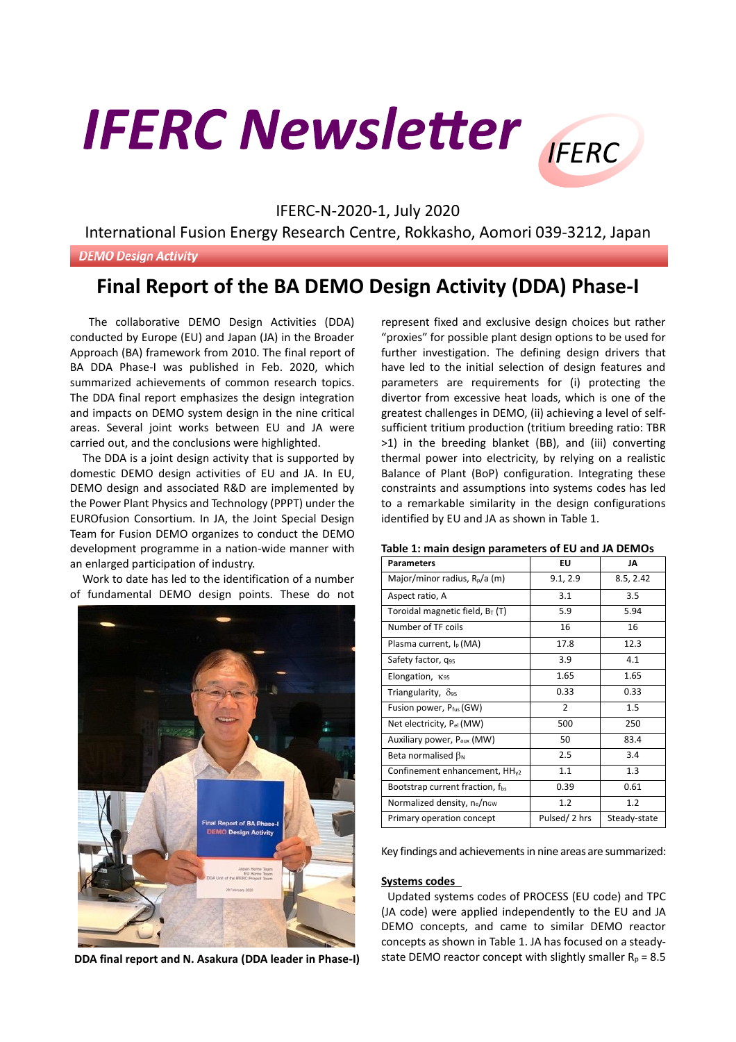



# IFERC-N-2020-1, July 2020

International Fusion Energy Research Centre, Rokkasho, Aomori 039-3212, Japan

# **DEMO Design Activity**

# **Final Report of the BA DEMO Design Activity (DDA) Phase-I**

 The collaborative DEMO Design Activities (DDA) conducted by Europe (EU) and Japan (JA) in the Broader Approach (BA) framework from 2010. The final report of BA DDA Phase-I was published in Feb. 2020, which summarized achievements of common research topics. The DDA final report emphasizes the design integration and impacts on DEMO system design in the nine critical areas. Several joint works between EU and JA were carried out, and the conclusions were highlighted.

 The DDA is a joint design activity that is supported by domestic DEMO design activities of EU and JA. In EU, DEMO design and associated R&D are implemented by the Power Plant Physics and Technology (PPPT) under the EUROfusion Consortium. In JA, the Joint Special Design Team for Fusion DEMO organizes to conduct the DEMO development programme in a nation-wide manner with an enlarged participation of industry.

 Work to date has led to the identification of a number of fundamental DEMO design points. These do not



represent fixed and exclusive design choices but rather "proxies" for possible plant design options to be used for further investigation. The defining design drivers that have led to the initial selection of design features and parameters are requirements for (i) protecting the divertor from excessive heat loads, which is one of the greatest challenges in DEMO, (ii) achieving a level of selfsufficient tritium production (tritium breeding ratio: TBR >1) in the breeding blanket (BB), and (iii) converting thermal power into electricity, by relying on a realistic Balance of Plant (BoP) configuration. Integrating these constraints and assumptions into systems codes has led to a remarkable similarity in the design configurations identified by EU and JA as shown in Table 1.

| <b>Parameters</b>                                   | EU           | JA           |
|-----------------------------------------------------|--------------|--------------|
| Major/minor radius, $R_p/a$ (m)                     | 9.1, 2.9     | 8.5, 2.42    |
| Aspect ratio, A                                     | 3.1          | 3.5          |
| Toroidal magnetic field, $B_T(T)$                   | 5.9          | 5.94         |
| Number of TF coils                                  | 16           | 16           |
| Plasma current, I <sub>p</sub> (MA)                 | 17.8         | 12.3         |
| Safety factor, q <sub>95</sub>                      | 3.9          | 4.1          |
| Elongation, K95                                     | 1.65         | 1.65         |
| Triangularity, $\delta_{95}$                        | 0.33         | 0.33         |
| Fusion power, Pfus (GW)                             | 2            | 1.5          |
| Net electricity, Pel (MW)                           | 500          | 250          |
| Auxiliary power, Paux (MW)                          | 50           | 83.4         |
| Beta normalised $\beta_N$                           | 2.5          | 3.4          |
| Confinement enhancement, HH <sub>v2</sub>           | 1.1          | 1.3          |
| Bootstrap current fraction, fbs                     | 0.39         | 0.61         |
| Normalized density, n <sub>e</sub> /n <sub>GW</sub> | 1.2          | 1.2          |
| Primary operation concept                           | Pulsed/2 hrs | Steady-state |

## **Table 1: main design parameters of EU and JA DEMOs**

Key findings and achievements in nine areas are summarized:

# **Systems codes**

Updated systems codes of PROCESS (EU code) and TPC (JA code) were applied independently to the EU and JA DEMO concepts, and came to similar DEMO reactor concepts as shown in Table 1. JA has focused on a steady-**DDA final report and N. Asakura (DDA leader in Phase-I)** state DEMO reactor concept with slightly smaller R<sub>p</sub> = 8.5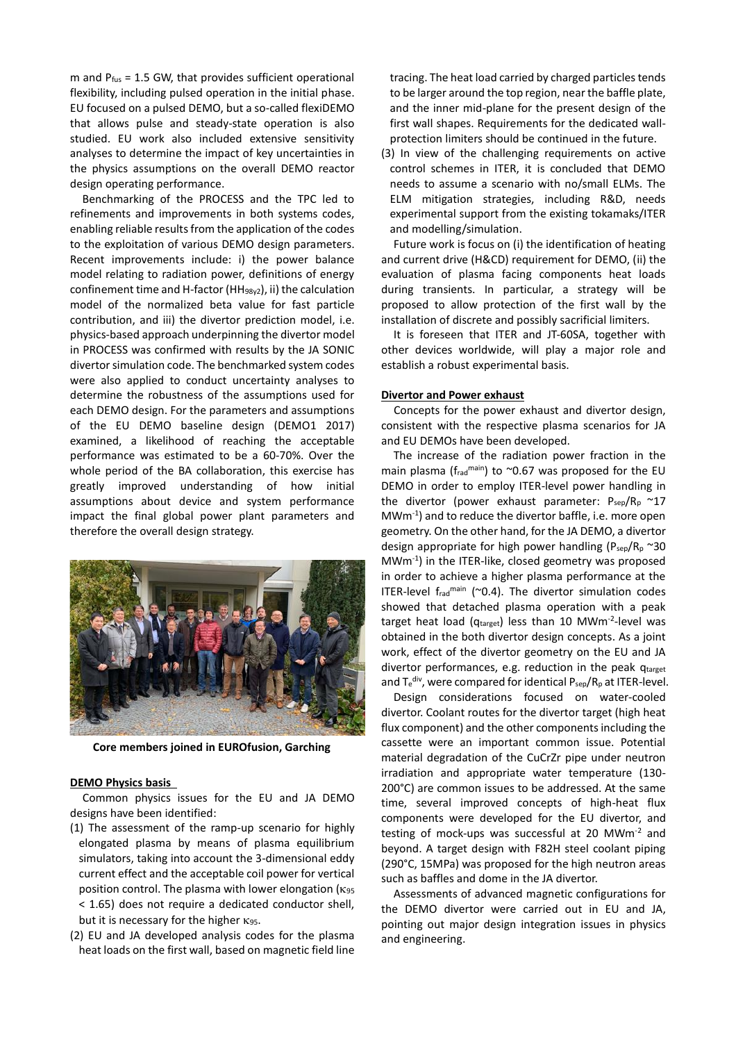m and  $P_{fus} = 1.5$  GW, that provides sufficient operational flexibility, including pulsed operation in the initial phase. EU focused on a pulsed DEMO, but a so-called flexiDEMO that allows pulse and steady-state operation is also studied. EU work also included extensive sensitivity analyses to determine the impact of key uncertainties in the physics assumptions on the overall DEMO reactor design operating performance.

Benchmarking of the PROCESS and the TPC led to refinements and improvements in both systems codes, enabling reliable results from the application of the codes to the exploitation of various DEMO design parameters. Recent improvements include: i) the power balance model relating to radiation power, definitions of energy confinement time and H-factor (HH98y2), ii) the calculation model of the normalized beta value for fast particle contribution, and iii) the divertor prediction model, i.e. physics-based approach underpinning the divertor model in PROCESS was confirmed with results by the JA SONIC divertor simulation code. The benchmarked system codes were also applied to conduct uncertainty analyses to determine the robustness of the assumptions used for each DEMO design. For the parameters and assumptions of the EU DEMO baseline design (DEMO1 2017) examined, a likelihood of reaching the acceptable performance was estimated to be a 60-70%. Over the whole period of the BA collaboration, this exercise has greatly improved understanding of how initial assumptions about device and system performance impact the final global power plant parameters and therefore the overall design strategy.



**Core members joined in EUROfusion, Garching** 

## **DEMO Physics basis**

Common physics issues for the EU and JA DEMO designs have been identified:

- (1) The assessment of the ramp-up scenario for highly elongated plasma by means of plasma equilibrium simulators, taking into account the 3-dimensional eddy current effect and the acceptable coil power for vertical position control. The plasma with lower elongation ( $\kappa_{95}$ < 1.65) does not require a dedicated conductor shell, but it is necessary for the higher  $\kappa_{95}$ .
- (2) EU and JA developed analysis codes for the plasma heat loads on the first wall, based on magnetic field line

tracing. The heat load carried by charged particles tends to be larger around the top region, near the baffle plate, and the inner mid-plane for the present design of the first wall shapes. Requirements for the dedicated wallprotection limiters should be continued in the future.

(3) In view of the challenging requirements on active control schemes in ITER, it is concluded that DEMO needs to assume a scenario with no/small ELMs. The ELM mitigation strategies, including R&D, needs experimental support from the existing tokamaks/ITER and modelling/simulation.

Future work is focus on (i) the identification of heating and current drive (H&CD) requirement for DEMO, (ii) the evaluation of plasma facing components heat loads during transients. In particular, a strategy will be proposed to allow protection of the first wall by the installation of discrete and possibly sacrificial limiters.

It is foreseen that ITER and JT-60SA, together with other devices worldwide, will play a major role and establish a robust experimental basis.

# **Divertor and Power exhaust**

Concepts for the power exhaust and divertor design, consistent with the respective plasma scenarios for JA and EU DEMOs have been developed.

The increase of the radiation power fraction in the main plasma ( $f_{rad}$ <sup>main</sup>) to ~0.67 was proposed for the EU DEMO in order to employ ITER-level power handling in the divertor (power exhaust parameter:  $P_{sep}/R_p \sim 17$ MWm-1 ) and to reduce the divertor baffle, i.e. more open geometry. On the other hand, for the JA DEMO, a divertor design appropriate for high power handling ( $P_{sep}/R_p \sim 30$ MWm<sup>-1</sup>) in the ITER-like, closed geometry was proposed in order to achieve a higher plasma performance at the ITER-level  $f_{rad}$ <sup>main</sup> (~0.4). The divertor simulation codes showed that detached plasma operation with a peak target heat load (q<sub>target</sub>) less than 10 MWm<sup>-2</sup>-level was obtained in the both divertor design concepts. As a joint work, effect of the divertor geometry on the EU and JA divertor performances, e.g. reduction in the peak qtarget and T $_{\rm e}^{\rm div}$ , were compared for identical P $_{\rm sep}/\rm R_p$  at ITER-level.

Design considerations focused on water-cooled divertor. Coolant routes for the divertor target (high heat flux component) and the other components including the cassette were an important common issue. Potential material degradation of the CuCrZr pipe under neutron irradiation and appropriate water temperature (130- 200°C) are common issues to be addressed. At the same time, several improved concepts of high-heat flux components were developed for the EU divertor, and testing of mock-ups was successful at 20 MWm-2 and beyond. A target design with F82H steel coolant piping (290°C, 15MPa) was proposed for the high neutron areas such as baffles and dome in the JA divertor.

Assessments of advanced magnetic configurations for the DEMO divertor were carried out in EU and JA, pointing out major design integration issues in physics and engineering.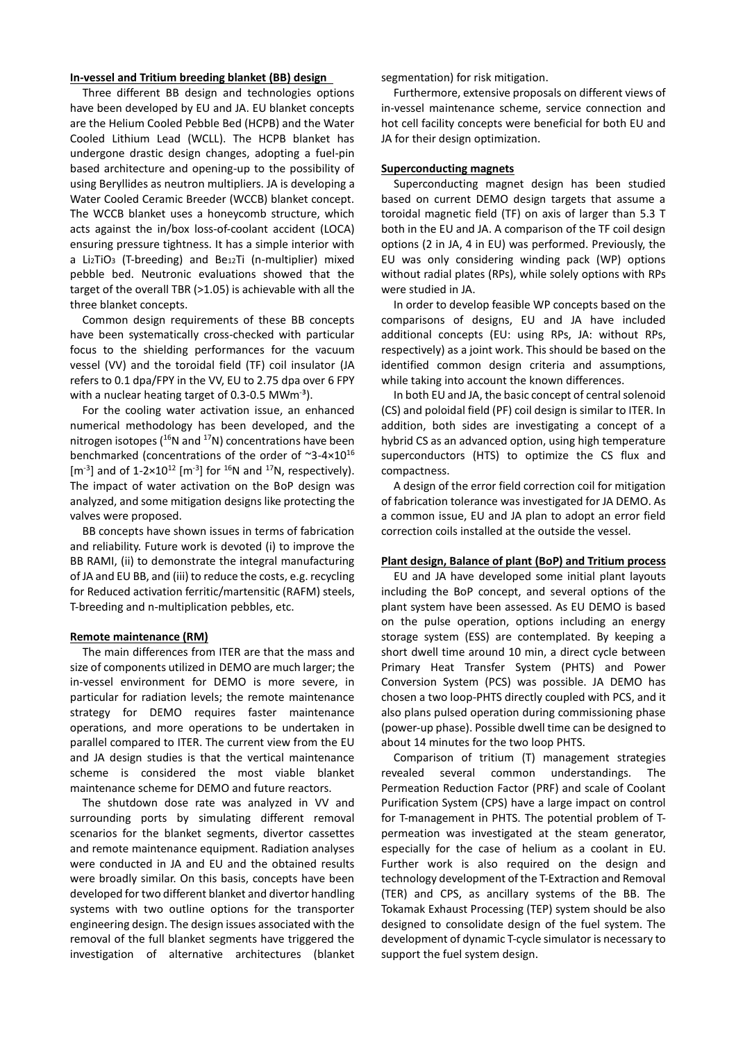# **In-vessel and Tritium breeding blanket (BB) design**

 Three different BB design and technologies options have been developed by EU and JA. EU blanket concepts are the Helium Cooled Pebble Bed (HCPB) and the Water Cooled Lithium Lead (WCLL). The HCPB blanket has undergone drastic design changes, adopting a fuel-pin based architecture and opening-up to the possibility of using Beryllides as neutron multipliers. JA is developing a Water Cooled Ceramic Breeder (WCCB) blanket concept. The WCCB blanket uses a honeycomb structure, which acts against the in/box loss-of-coolant accident (LOCA) ensuring pressure tightness. It has a simple interior with a Li<sub>2</sub>TiO<sub>3</sub> (T-breeding) and Be<sub>12</sub>Ti (n-multiplier) mixed pebble bed. Neutronic evaluations showed that the target of the overall TBR (>1.05) is achievable with all the three blanket concepts.

Common design requirements of these BB concepts have been systematically cross-checked with particular focus to the shielding performances for the vacuum vessel (VV) and the toroidal field (TF) coil insulator (JA refers to 0.1 dpa/FPY in the VV, EU to 2.75 dpa over 6 FPY with a nuclear heating target of 0.3-0.5 MWm<sup>-3</sup>).

For the cooling water activation issue, an enhanced numerical methodology has been developed, and the nitrogen isotopes ( $^{16}N$  and  $^{17}N$ ) concentrations have been benchmarked (concentrations of the order of  $\approx$ 3-4×10<sup>16</sup> [m<sup>-3</sup>] and of  $1-2\times10^{12}$  [m<sup>-3</sup>] for <sup>16</sup>N and <sup>17</sup>N, respectively). The impact of water activation on the BoP design was analyzed, and some mitigation designs like protecting the valves were proposed.

BB concepts have shown issues in terms of fabrication and reliability. Future work is devoted (i) to improve the BB RAMI, (ii) to demonstrate the integral manufacturing of JA and EU BB, and (iii) to reduce the costs, e.g. recycling for Reduced activation ferritic/martensitic (RAFM) steels, T-breeding and n-multiplication pebbles, etc.

#### **Remote maintenance (RM)**

The main differences from ITER are that the mass and size of components utilized in DEMO are much larger; the in-vessel environment for DEMO is more severe, in particular for radiation levels; the remote maintenance strategy for DEMO requires faster maintenance operations, and more operations to be undertaken in parallel compared to ITER. The current view from the EU and JA design studies is that the vertical maintenance scheme is considered the most viable blanket maintenance scheme for DEMO and future reactors.

The shutdown dose rate was analyzed in VV and surrounding ports by simulating different removal scenarios for the blanket segments, divertor cassettes and remote maintenance equipment. Radiation analyses were conducted in JA and EU and the obtained results were broadly similar. On this basis, concepts have been developed for two different blanket and divertor handling systems with two outline options for the transporter engineering design. The design issues associated with the removal of the full blanket segments have triggered the investigation of alternative architectures (blanket

segmentation) for risk mitigation.

Furthermore, extensive proposals on different views of in-vessel maintenance scheme, service connection and hot cell facility concepts were beneficial for both EU and JA for their design optimization.

#### **Superconducting magnets**

 Superconducting magnet design has been studied based on current DEMO design targets that assume a toroidal magnetic field (TF) on axis of larger than 5.3 T both in the EU and JA. A comparison of the TF coil design options (2 in JA, 4 in EU) was performed. Previously, the EU was only considering winding pack (WP) options without radial plates (RPs), while solely options with RPs were studied in JA.

In order to develop feasible WP concepts based on the comparisons of designs, EU and JA have included additional concepts (EU: using RPs, JA: without RPs, respectively) as a joint work. This should be based on the identified common design criteria and assumptions, while taking into account the known differences.

In both EU and JA, the basic concept of central solenoid (CS) and poloidal field (PF) coil design is similar to ITER. In addition, both sides are investigating a concept of a hybrid CS as an advanced option, using high temperature superconductors (HTS) to optimize the CS flux and compactness.

A design of the error field correction coil for mitigation of fabrication tolerance was investigated for JA DEMO. As a common issue, EU and JA plan to adopt an error field correction coils installed at the outside the vessel.

# **Plant design, Balance of plant (BoP) and Tritium process**

 EU and JA have developed some initial plant layouts including the BoP concept, and several options of the plant system have been assessed. As EU DEMO is based on the pulse operation, options including an energy storage system (ESS) are contemplated. By keeping a short dwell time around 10 min, a direct cycle between Primary Heat Transfer System (PHTS) and Power Conversion System (PCS) was possible. JA DEMO has chosen a two loop-PHTS directly coupled with PCS, and it also plans pulsed operation during commissioning phase (power-up phase). Possible dwell time can be designed to about 14 minutes for the two loop PHTS.

Comparison of tritium (T) management strategies revealed several common understandings. The Permeation Reduction Factor (PRF) and scale of Coolant Purification System (CPS) have a large impact on control for T-management in PHTS. The potential problem of Tpermeation was investigated at the steam generator, especially for the case of helium as a coolant in EU. Further work is also required on the design and technology development of the T-Extraction and Removal (TER) and CPS, as ancillary systems of the BB. The Tokamak Exhaust Processing (TEP) system should be also designed to consolidate design of the fuel system. The development of dynamic T-cycle simulator is necessary to support the fuel system design.